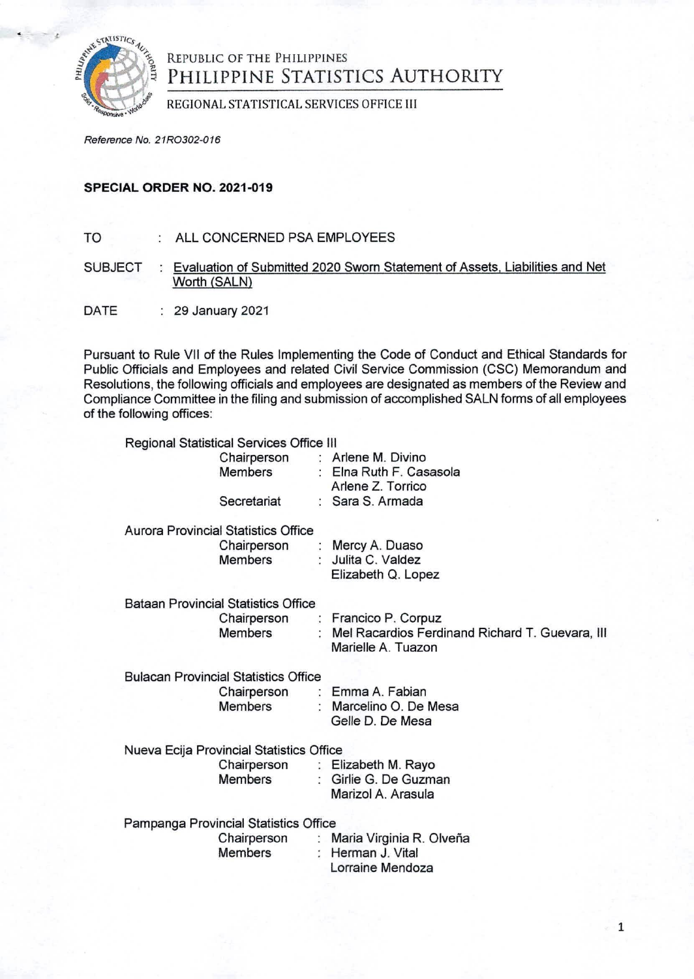

## REPUBLIC OF THE PHILIPPINES PHILIPPINE STATISTICS AUTHORITY

REGIONAL STATISTICAL SERVICES OFFICE III

*Reference No. 21R0302-016*

## **SPECIAL ORDER NO. 2021-019**

- TO : ALL CONCERNED PSA EMPLOYEES
- SUBJECT : Evaluation of Submitted 2020 Sworn Statement of Assets, Liabilities and Net Worth (SALN)
- DATE : 29 January 2021

Pursuant to Rule VII of the Rules Implementing the Code of Conduct and Ethical Standards for Public Officials and Employees and related Civil Service Commission (CSC) Memorandum and Resolutions, the following officials and employees are designated as members of the Review and Compliance Committee in the filing and submission of accomplished SALN forms of all employees of the following offices:

|                                             | Regional Statistical Services Office III   |                                                |                                                                                 |
|---------------------------------------------|--------------------------------------------|------------------------------------------------|---------------------------------------------------------------------------------|
|                                             |                                            | Chairperson : Arlene M. Divino<br>Members      | : Elna Ruth F. Casasola<br>Arlene Z. Torrico                                    |
|                                             |                                            | Secretariat                                    | : Sara S. Armada                                                                |
|                                             |                                            | <b>Aurora Provincial Statistics Office</b>     |                                                                                 |
|                                             |                                            | Chairperson : Mercy A. Duaso<br><b>Members</b> | : Julita C. Valdez<br>Elizabeth Q. Lopez                                        |
|                                             | <b>Bataan Provincial Statistics Office</b> |                                                |                                                                                 |
|                                             |                                            |                                                | Chairperson : Francico P. Corpuz                                                |
|                                             |                                            | Members                                        | : Mel Racardios Ferdinand Richard T. Guevara, III<br>Marielle A. Tuazon         |
| <b>Bulacan Provincial Statistics Office</b> |                                            |                                                |                                                                                 |
|                                             |                                            | Chairperson                                    | : Emma A. Fabian                                                                |
|                                             |                                            | <b>Members</b>                                 | : Marcelino O. De Mesa<br>Gelle D. De Mesa                                      |
|                                             | Nueva Ecija Provincial Statistics Office   |                                                |                                                                                 |
|                                             |                                            |                                                | Chairperson : Elizabeth M. Rayo                                                 |
|                                             |                                            | <b>Members</b>                                 | : Girlie G. De Guzman<br>Marizol A. Arasula                                     |
|                                             | Pampanga Provincial Statistics Office      |                                                |                                                                                 |
|                                             |                                            | Members                                        | Chairperson : Maria Virginia R. Olveña<br>: Herman J. Vital<br>Lorraine Mendoza |
|                                             |                                            |                                                |                                                                                 |